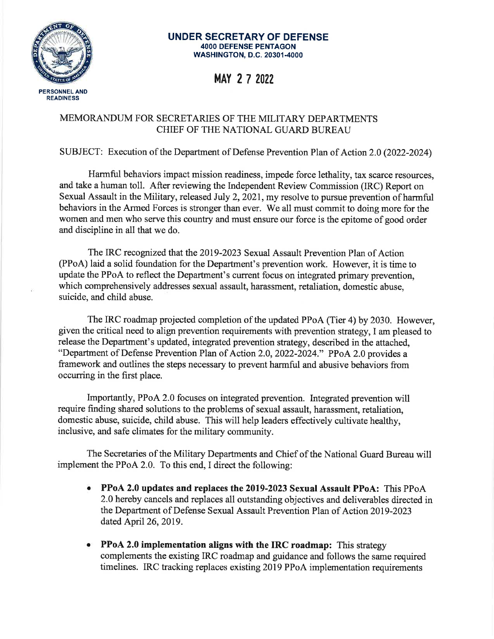

#### **UNDER SECRETARY OF DEFENSE 4000 DEFENSE PENTAGON WASHINGTON, D.C. 20301-4000**

## MAY 2 7 2022

#### MEMORANDUM FOR SECRETARIES OF THE MILITARY DEPARTMENTS CHIEF OF THE NATIONAL GUARD BUREAU

#### SUBJECT: Execution of the Department of Defense Prevention Plan of Action 2.0 (2022-2024)

Harmful behaviors impact mission readiness, impede force lethality, tax scarce resources, and take a human toll. After reviewing the Independent Review Commission (IRC) Report on Sexual Assault in the Military, released July 2, 2021, my resolve to pursue prevention of harmful behaviors in the Armed Forces is stronger than ever. We all must commit to doing more for the women and men who serve this country and must ensure our force is the epitome of good order and discipline in all that we do.

The IRC recognized that the 2019-2023 Sexual Assault Prevention Plan of Action (PPoA) laid a solid foundation for the Department's prevention work. However, it is time to update the PPoA to reflect the Department's current focus on integrated primary prevention, which comprehensively addresses sexual assault, harassment, retaliation, domestic abuse. suicide, and child abuse.

The IRC roadmap projected completion of the updated PPoA (Tier 4) by 2030. However, given the critical need to align prevention requirements with prevention strategy. I am pleased to release the Department's updated, integrated prevention strategy, described in the attached. "Department of Defense Prevention Plan of Action 2.0, 2022-2024." PPoA 2.0 provides a framework and outlines the steps necessary to prevent harmful and abusive behaviors from occurring in the first place.

Importantly, PPoA 2.0 focuses on integrated prevention. Integrated prevention will require finding shared solutions to the problems of sexual assault, harassment, retaliation, domestic abuse, suicide, child abuse. This will help leaders effectively cultivate healthy, inclusive, and safe climates for the military community.

The Secretaries of the Military Departments and Chief of the National Guard Bureau will implement the PPoA 2.0. To this end, I direct the following:

- PPoA 2.0 updates and replaces the 2019-2023 Sexual Assault PPoA: This PPoA 2.0 hereby cancels and replaces all outstanding objectives and deliverables directed in the Department of Defense Sexual Assault Prevention Plan of Action 2019-2023 dated April 26, 2019.
- PPoA 2.0 implementation aligns with the IRC roadmap: This strategy complements the existing IRC roadmap and guidance and follows the same required timelines. IRC tracking replaces existing 2019 PPoA implementation requirements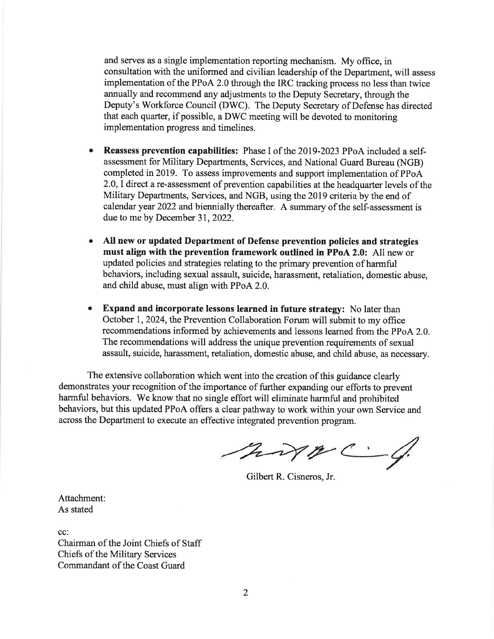and serves as a single implementation reporting mechanism. My office, in consultation with the uniformed and civilian leadership of the Department, will assess implementation of the PPoA 2.0 through the IRC tracking process no less than twice annually and recommend any adjustments to the Deputy Secretary, through the Deputy's Workforce Council (DWC). The Deputy Secretary of Defense has directed that each quarter, if possible, a DWC meeting will be devoted to monitoring implementation progress and timelines.

- Reassess prevention capabilities: Phase I of the 2019-2023 PPoA included a self- $\bullet$ assessment for Military Departments, Services, and National Guard Bureau (NGB) completed in 2019. To assess improvements and support implementation of PPoA 2.0, I direct a re-assessment of prevention capabilities at the headquarter levels of the Military Departments, Services, and NGB, using the 2019 criteria by the end of calendar year 2022 and biennially thereafter. A summary of the self-assessment is due to me by December 31, 2022.
- All new or updated Department of Defense prevention policies and strategies  $\bullet$ must align with the prevention framework outlined in PPoA 2.0: All new or updated policies and strategies relating to the primary prevention of harmful behaviors, including sexual assault, suicide, harassment, retaliation, domestic abuse, and child abuse, must align with PPoA 2.0.
- Expand and incorporate lessons learned in future strategy: No later than  $\bullet$ October 1, 2024, the Prevention Collaboration Forum will submit to my office recommendations informed by achievements and lessons learned from the PPoA 2.0. The recommendations will address the unique prevention requirements of sexual assault, suicide, harassment, retaliation, domestic abuse, and child abuse, as necessary.

The extensive collaboration which went into the creation of this guidance clearly demonstrates your recognition of the importance of further expanding our efforts to prevent harmful behaviors. We know that no single effort will eliminate harmful and prohibited behaviors, but this updated PPoA offers a clear pathway to work within your own Service and across the Department to execute an effective integrated prevention program.

morre C.

Gilbert R. Cisneros, Jr.

Attachment: As stated

cc:

Chairman of the Joint Chiefs of Staff Chiefs of the Military Services Commandant of the Coast Guard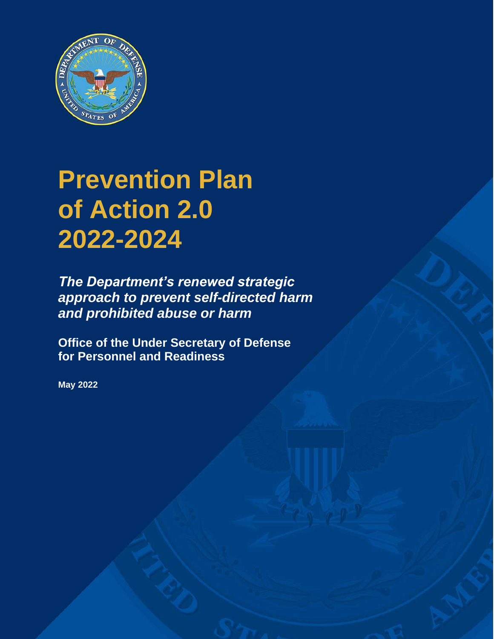

# **Prevention Plan of Action 2.0 2022-2024**

*The Department's renewed strategic approach to prevent self-directed harm and prohibited abuse or harm*

**Office of the Under Secretary of Defense for Personnel and Readiness**

**May 2022**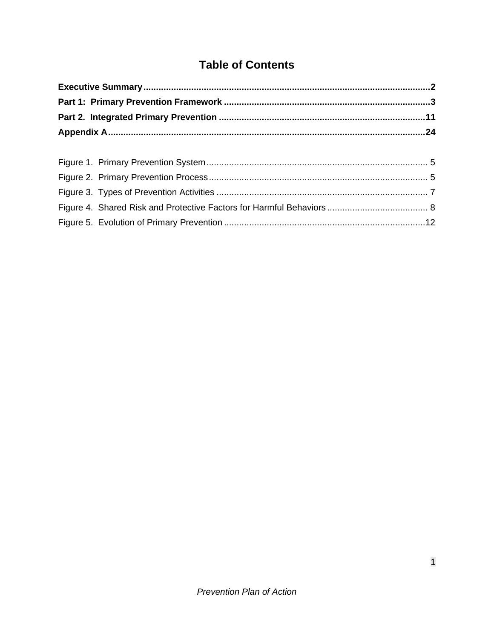# **Table of Contents**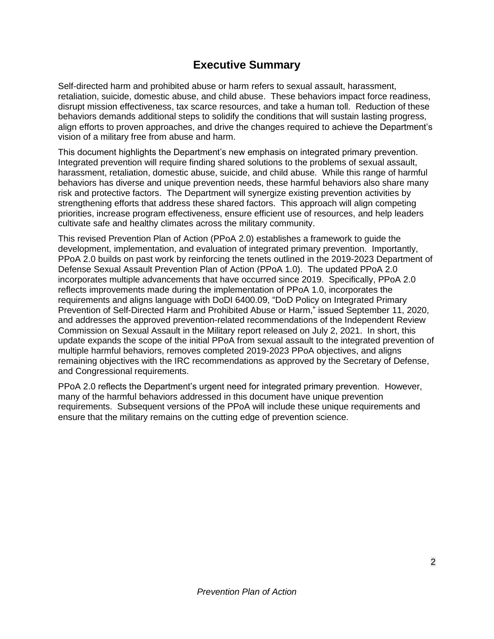### **Executive Summary**

<span id="page-4-0"></span>Self-directed harm and prohibited abuse or harm refers to sexual assault, harassment, retaliation, suicide, domestic abuse, and child abuse. These behaviors impact force readiness, disrupt mission effectiveness, tax scarce resources, and take a human toll. Reduction of these behaviors demands additional steps to solidify the conditions that will sustain lasting progress, align efforts to proven approaches, and drive the changes required to achieve the Department's vision of a military free from abuse and harm.

This document highlights the Department's new emphasis on integrated primary prevention. Integrated prevention will require finding shared solutions to the problems of sexual assault, harassment, retaliation, domestic abuse, suicide, and child abuse. While this range of harmful behaviors has diverse and unique prevention needs, these harmful behaviors also share many risk and protective factors. The Department will synergize existing prevention activities by strengthening efforts that address these shared factors. This approach will align competing priorities, increase program effectiveness, ensure efficient use of resources, and help leaders cultivate safe and healthy climates across the military community.

This revised Prevention Plan of Action (PPoA 2.0) establishes a framework to guide the development, implementation, and evaluation of integrated primary prevention. Importantly, PPoA 2.0 builds on past work by reinforcing the tenets outlined in the 2019-2023 Department of Defense Sexual Assault Prevention Plan of Action (PPoA 1.0). The updated PPoA 2.0 incorporates multiple advancements that have occurred since 2019. Specifically, PPoA 2.0 reflects improvements made during the implementation of PPoA 1.0, incorporates the requirements and aligns language with DoDI 6400.09, "DoD Policy on Integrated Primary Prevention of Self-Directed Harm and Prohibited Abuse or Harm," issued September 11, 2020, and addresses the approved prevention-related recommendations of the Independent Review Commission on Sexual Assault in the Military report released on July 2, 2021. In short, this update expands the scope of the initial PPoA from sexual assault to the integrated prevention of multiple harmful behaviors, removes completed 2019-2023 PPoA objectives, and aligns remaining objectives with the IRC recommendations as approved by the Secretary of Defense, and Congressional requirements.

PPoA 2.0 reflects the Department's urgent need for integrated primary prevention. However, many of the harmful behaviors addressed in this document have unique prevention requirements. Subsequent versions of the PPoA will include these unique requirements and ensure that the military remains on the cutting edge of prevention science.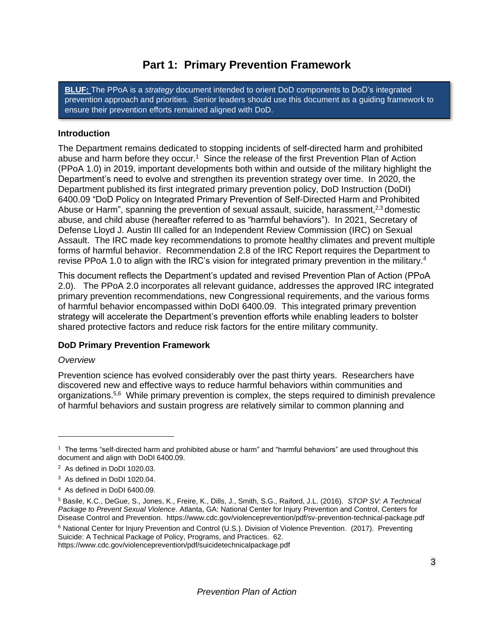## **Part 1: Primary Prevention Framework**

<span id="page-5-0"></span>**BLUF:** The PPoA is a *strategy* document intended to orient DoD components to DoD's integrated prevention approach and priorities. Senior leaders should use this document as a guiding framework to ensure their prevention efforts remained aligned with DoD.

#### **Introduction**

The Department remains dedicated to stopping incidents of self-directed harm and prohibited abuse and harm before they occur.<sup>1</sup> Since the release of the first Prevention Plan of Action (PPoA 1.0) in 2019, important developments both within and outside of the military highlight the Department's need to evolve and strengthen its prevention strategy over time. In 2020, the Department published its first integrated primary prevention policy, DoD Instruction (DoDI) 6400.09 "DoD Policy on Integrated Primary Prevention of Self-Directed Harm and Prohibited Abuse or Harm", spanning the prevention of sexual assault, suicide, harassment, $2,3$  domestic abuse, and child abuse (hereafter referred to as "harmful behaviors"). In 2021, Secretary of Defense Lloyd J. Austin III called for an Independent Review Commission (IRC) on Sexual Assault. The IRC made key recommendations to promote healthy climates and prevent multiple forms of harmful behavior. Recommendation 2.8 of the IRC Report requires the Department to revise PPoA 1.0 to align with the IRC's vision for integrated primary prevention in the military.<sup>4</sup>

This document reflects the Department's updated and revised Prevention Plan of Action (PPoA 2.0). The PPoA 2.0 incorporates all relevant guidance, addresses the approved IRC integrated primary prevention recommendations, new Congressional requirements, and the various forms of harmful behavior encompassed within DoDI 6400.09. This integrated primary prevention strategy will accelerate the Department's prevention efforts while enabling leaders to bolster shared protective factors and reduce risk factors for the entire military community.

#### **DoD Primary Prevention Framework**

#### *Overview*

Prevention science has evolved considerably over the past thirty years. Researchers have discovered new and effective ways to reduce harmful behaviors within communities and organizations.<sup>5,6</sup> While primary prevention is complex, the steps required to diminish prevalence of harmful behaviors and sustain progress are relatively similar to common planning and

<sup>1</sup> The terms "self-directed harm and prohibited abuse or harm" and "harmful behaviors" are used throughout this document and align with DoDI 6400.09.

<sup>&</sup>lt;sup>2</sup> As defined in DoDI 1020.03.

<sup>3</sup> As defined in DoDI 1020.04.

<sup>4</sup> As defined in DoDI 6400.09.

<sup>5</sup> Basile, K.C., DeGue, S., Jones, K., Freire, K., Dills, J., Smith, S.G., Raiford, J.L. (2016). *STOP SV: A Technical Package to Prevent Sexual Violence*. Atlanta, GA: National Center for Injury Prevention and Control, Centers for Disease Control and Prevention. https://www.cdc.gov/violenceprevention/pdf/sv-prevention-technical-package.pdf

<sup>6</sup> National Center for Injury Prevention and Control (U.S.). Division of Violence Prevention. (2017). Preventing Suicide: A Technical Package of Policy, Programs, and Practices. 62.

https://www.cdc.gov/violenceprevention/pdf/suicidetechnicalpackage.pdf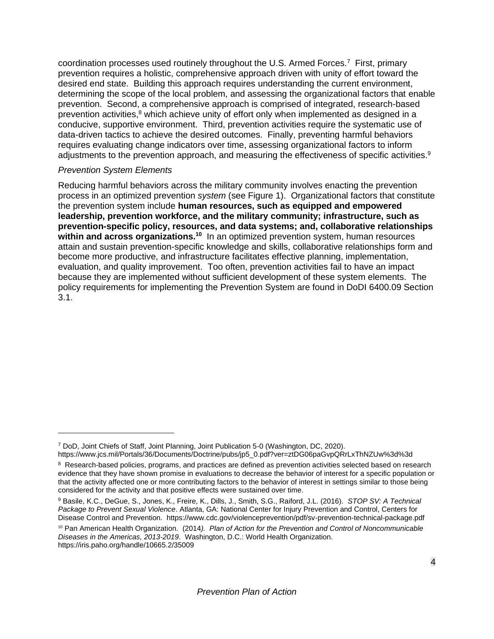coordination processes used routinely throughout the U.S. Armed Forces.<sup>7</sup> First, primary prevention requires a holistic, comprehensive approach driven with unity of effort toward the desired end state. Building this approach requires understanding the current environment, determining the scope of the local problem, and assessing the organizational factors that enable prevention. Second, a comprehensive approach is comprised of integrated, research-based prevention activities,<sup>8</sup> which achieve unity of effort only when implemented as designed in a conducive, supportive environment. Third, prevention activities require the systematic use of data-driven tactics to achieve the desired outcomes. Finally, preventing harmful behaviors requires evaluating change indicators over time, assessing organizational factors to inform adjustments to the prevention approach, and measuring the effectiveness of specific activities.<sup>9</sup>

#### *Prevention System Elements*

Reducing harmful behaviors across the military community involves enacting the prevention process in an optimized prevention *system* (see Figure 1). Organizational factors that constitute the prevention system include **human resources, such as equipped and empowered leadership, prevention workforce, and the military community; infrastructure, such as prevention-specific policy, resources, and data systems; and, collaborative relationships**  within and across organizations.<sup>10</sup> In an optimized prevention system, human resources attain and sustain prevention-specific knowledge and skills, collaborative relationships form and become more productive, and infrastructure facilitates effective planning, implementation, evaluation, and quality improvement. Too often, prevention activities fail to have an impact because they are implemented without sufficient development of these system elements. The policy requirements for implementing the Prevention System are found in DoDI 6400.09 Section 3.1.

<sup>7</sup> DoD, Joint Chiefs of Staff, Joint Planning, Joint Publication 5-0 (Washington, DC, 2020).

https://www.jcs.mil/Portals/36/Documents/Doctrine/pubs/jp5\_0.pdf?ver=ztDG06paGvpQRrLxThNZUw%3d%3d

<sup>&</sup>lt;sup>8</sup> Research-based policies, programs, and practices are defined as prevention activities selected based on research evidence that they have shown promise in evaluations to decrease the behavior of interest for a specific population or that the activity affected one or more contributing factors to the behavior of interest in settings similar to those being considered for the activity and that positive effects were sustained over time.

<sup>9</sup> Basile, K.C., DeGue, S., Jones, K., Freire, K., Dills, J., Smith, S.G., Raiford, J.L. (2016). *STOP SV: A Technical Package to Prevent Sexual Violence*. Atlanta, GA: National Center for Injury Prevention and Control, Centers for Disease Control and Prevention. https://www.cdc.gov/violenceprevention/pdf/sv-prevention-technical-package.pdf

<sup>10</sup> Pan American Health Organization. (2014*). Plan of Action for the Prevention and Control of Noncommunicable Diseases in the Americas, 2013-2019*. Washington, D.C.: World Health Organization. https://iris.paho.org/handle/10665.2/35009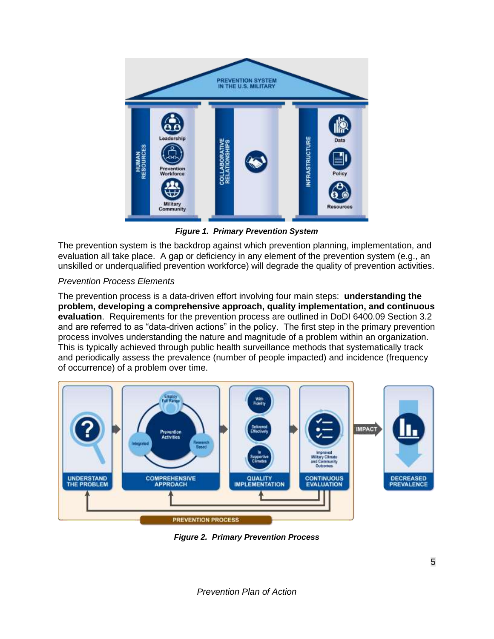<span id="page-7-2"></span>

*Figure 1. Primary Prevention System*

<span id="page-7-0"></span>The prevention system is the backdrop against which prevention planning, implementation, and evaluation all take place. A gap or deficiency in any element of the prevention system (e.g., an unskilled or underqualified prevention workforce) will degrade the quality of prevention activities.

#### *Prevention Process Elements*

The prevention process is a data-driven effort involving four main steps: **understanding the problem, developing a comprehensive approach, quality implementation, and continuous evaluation**. Requirements for the prevention process are outlined in DoDI 6400.09 Section 3.2 and are referred to as "data-driven actions" in the policy. The first step in the primary prevention process involves understanding the nature and magnitude of a problem within an organization. This is typically achieved through public health surveillance methods that systematically track and periodically assess the prevalence (number of people impacted) and incidence (frequency of occurrence) of a problem over time.



<span id="page-7-1"></span>*Figure 2. Primary Prevention Process*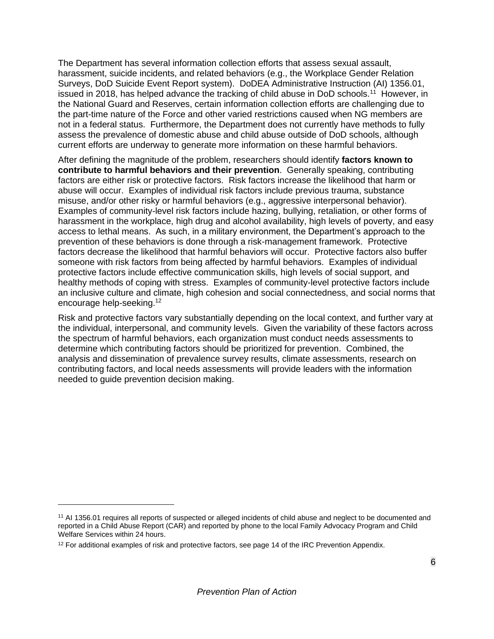The Department has several information collection efforts that assess sexual assault, harassment, suicide incidents, and related behaviors (e.g., the Workplace Gender Relation Surveys, DoD Suicide Event Report system). DoDEA Administrative Instruction (AI) 1356.01, issued in 2018, has helped advance the tracking of child abuse in DoD schools.<sup>11</sup> However, in the National Guard and Reserves, certain information collection efforts are challenging due to the part-time nature of the Force and other varied restrictions caused when NG members are not in a federal status. Furthermore, the Department does not currently have methods to fully assess the prevalence of domestic abuse and child abuse outside of DoD schools, although current efforts are underway to generate more information on these harmful behaviors.

After defining the magnitude of the problem, researchers should identify **factors known to contribute to harmful behaviors and their prevention**. Generally speaking, contributing factors are either risk or protective factors. Risk factors increase the likelihood that harm or abuse will occur. Examples of individual risk factors include previous trauma, substance misuse, and/or other risky or harmful behaviors (e.g., aggressive interpersonal behavior). Examples of community-level risk factors include hazing, bullying, retaliation, or other forms of harassment in the workplace, high drug and alcohol availability, high levels of poverty, and easy access to lethal means. As such, in a military environment, the Department's approach to the prevention of these behaviors is done through a risk-management framework. Protective factors decrease the likelihood that harmful behaviors will occur. Protective factors also buffer someone with risk factors from being affected by harmful behaviors. Examples of individual protective factors include effective communication skills, high levels of social support, and healthy methods of coping with stress. Examples of community-level protective factors include an inclusive culture and climate, high cohesion and social connectedness, and social norms that encourage help-seeking.<sup>12</sup>

Risk and protective factors vary substantially depending on the local context, and further vary at the individual, interpersonal, and community levels. Given the variability of these factors across the spectrum of harmful behaviors, each organization must conduct needs assessments to determine which contributing factors should be prioritized for prevention. Combined, the analysis and dissemination of prevalence survey results, climate assessments, research on contributing factors, and local needs assessments will provide leaders with the information needed to guide prevention decision making.

<sup>&</sup>lt;sup>11</sup> AI 1356.01 requires all reports of suspected or alleged incidents of child abuse and neglect to be documented and reported in a Child Abuse Report (CAR) and reported by phone to the local Family Advocacy Program and Child Welfare Services within 24 hours.

 $12$  For additional examples of risk and protective factors, see page 14 of the IRC Prevention Appendix.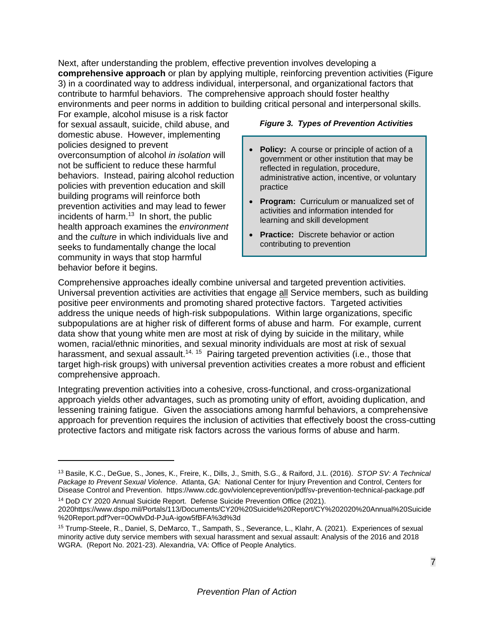Next, after understanding the problem, effective prevention involves developing a **comprehensive approach** or plan by applying multiple, reinforcing prevention activities [\(Figure](#page-9-0)  [3\)](#page-9-0) in a coordinated way to address individual, interpersonal, and organizational factors that contribute to harmful behaviors. The comprehensive approach should foster healthy environments and peer norms in addition to building critical personal and interpersonal skills.

For example, alcohol misuse is a risk factor for sexual assault, suicide, child abuse, and domestic abuse. However, implementing policies designed to prevent overconsumption of alcohol *in isolation* will not be sufficient to reduce these harmful behaviors. Instead, pairing alcohol reduction policies with prevention education and skill building programs will reinforce both prevention activities and may lead to fewer incidents of harm. $13$  In short, the public health approach examines the *environment* and the *culture* in which individuals live and seeks to fundamentally change the local community in ways that stop harmful behavior before it begins.

#### <span id="page-9-0"></span>*Figure 3. Types of Prevention Activities*

- **Policy:** A course or principle of action of a government or other institution that may be reflected in regulation, procedure, administrative action, incentive, or voluntary practice
- **Program:** Curriculum or manualized set of activities and information intended for learning and skill development
- **Practice:** Discrete behavior or action contributing to prevention

Comprehensive approaches ideally combine universal and targeted prevention activities. Universal prevention activities are activities that engage all Service members, such as building positive peer environments and promoting shared protective factors. Targeted activities address the unique needs of high-risk subpopulations. Within large organizations, specific subpopulations are at higher risk of different forms of abuse and harm. For example, current data show that young white men are most at risk of dying by suicide in the military, while women, racial/ethnic minorities, and sexual minority individuals are most at risk of sexual harassment, and sexual assault.<sup>14, 15</sup> Pairing targeted prevention activities (i.e., those that target high-risk groups) with universal prevention activities creates a more robust and efficient comprehensive approach.

Integrating prevention activities into a cohesive, cross-functional, and cross-organizational approach yields other advantages, such as promoting unity of effort, avoiding duplication, and lessening training fatigue. Given the associations among harmful behaviors, a comprehensive approach for prevention requires the inclusion of activities that effectively boost the cross-cutting protective factors and mitigate risk factors across the various forms of abuse and harm.

<sup>13</sup> Basile, K.C., DeGue, S., Jones, K., Freire, K., Dills, J., Smith, S.G., & Raiford, J.L. (2016). *STOP SV: A Technical Package to Prevent Sexual Violence*. Atlanta, GA: National Center for Injury Prevention and Control, Centers for Disease Control and Prevention. https://www.cdc.gov/violenceprevention/pdf/sv-prevention-technical-package.pdf

<sup>14</sup> DoD CY 2020 Annual Suicide Report. Defense Suicide Prevention Office (2021). 2020https://www.dspo.mil/Portals/113/Documents/CY20%20Suicide%20Report/CY%202020%20Annual%20Suicide %20Report.pdf?ver=0OwlvDd-PJuA-igow5fBFA%3d%3d

<sup>15</sup> Trump-Steele, R., Daniel, S, DeMarco, T., Sampath, S., Severance, L., Klahr, A. (2021). Experiences of sexual minority active duty service members with sexual harassment and sexual assault: Analysis of the 2016 and 2018 WGRA. (Report No. 2021-23). Alexandria, VA: Office of People Analytics.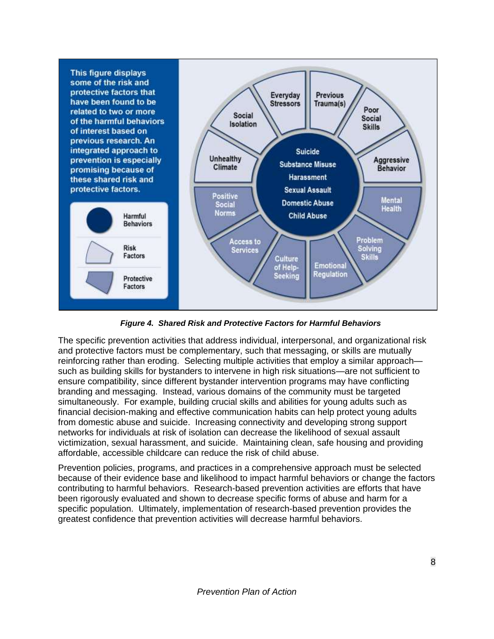

<span id="page-10-0"></span>*Figure 4. Shared Risk and Protective Factors for Harmful Behaviors*

The specific prevention activities that address individual, interpersonal, and organizational risk and protective factors must be complementary, such that messaging, or skills are mutually reinforcing rather than eroding. Selecting multiple activities that employ a similar approach such as building skills for bystanders to intervene in high risk situations—are not sufficient to ensure compatibility, since different bystander intervention programs may have conflicting branding and messaging. Instead, various domains of the community must be targeted simultaneously. For example, building crucial skills and abilities for young adults such as financial decision-making and effective communication habits can help protect young adults from domestic abuse and suicide. Increasing connectivity and developing strong support networks for individuals at risk of isolation can decrease the likelihood of sexual assault victimization, sexual harassment, and suicide. Maintaining clean, safe housing and providing affordable, accessible childcare can reduce the risk of child abuse.

Prevention policies, programs, and practices in a comprehensive approach must be selected because of their evidence base and likelihood to impact harmful behaviors or change the factors contributing to harmful behaviors. Research-based prevention activities are efforts that have been rigorously evaluated and shown to decrease specific forms of abuse and harm for a specific population. Ultimately, implementation of research-based prevention provides the greatest confidence that prevention activities will decrease harmful behaviors.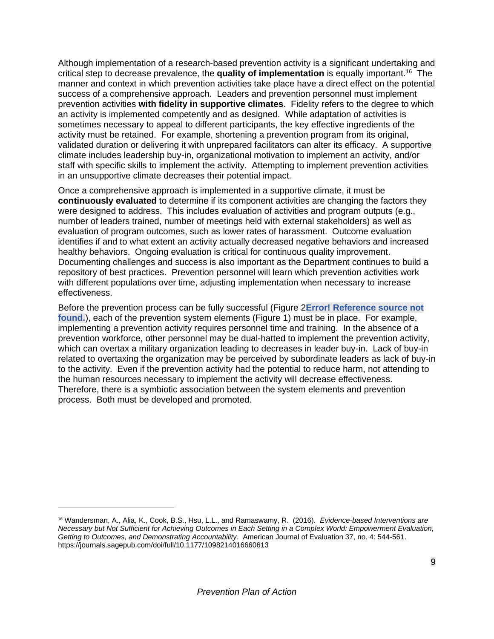Although implementation of a research-based prevention activity is a significant undertaking and critical step to decrease prevalence, the **quality of implementation** is equally important.<sup>16</sup> The manner and context in which prevention activities take place have a direct effect on the potential success of a comprehensive approach. Leaders and prevention personnel must implement prevention activities **with fidelity in supportive climates**. Fidelity refers to the degree to which an activity is implemented competently and as designed. While adaptation of activities is sometimes necessary to appeal to different participants, the key effective ingredients of the activity must be retained. For example, shortening a prevention program from its original, validated duration or delivering it with unprepared facilitators can alter its efficacy. A supportive climate includes leadership buy-in, organizational motivation to implement an activity, and/or staff with specific skills to implement the activity. Attempting to implement prevention activities in an unsupportive climate decreases their potential impact.

Once a comprehensive approach is implemented in a supportive climate, it must be **continuously evaluated** to determine if its component activities are changing the factors they were designed to address. This includes evaluation of activities and program outputs (e.g., number of leaders trained, number of meetings held with external stakeholders) as well as evaluation of program outcomes, such as lower rates of harassment. Outcome evaluation identifies if and to what extent an activity actually decreased negative behaviors and increased healthy behaviors. Ongoing evaluation is critical for continuous quality improvement. Documenting challenges and success is also important as the Department continues to build a repository of best practices. Prevention personnel will learn which prevention activities work with different populations over time, adjusting implementation when necessary to increase effectiveness.

Before the prevention process can be fully successful [\(Figure 2](#page-7-1)**Error! Reference source not found.**), each of the prevention system elements [\(Figure 1\)](#page-7-0) must be in place. For example, implementing a prevention activity requires personnel time and training. In the absence of a prevention workforce, other personnel may be dual-hatted to implement the prevention activity, which can overtax a military organization leading to decreases in leader buy-in. Lack of buy-in related to overtaxing the organization may be perceived by subordinate leaders as lack of buy-in to the activity. Even if the prevention activity had the potential to reduce harm, not attending to the human resources necessary to implement the activity will decrease effectiveness. Therefore, there is a symbiotic association between the system elements and prevention process. Both must be developed and promoted.

<sup>16</sup> Wandersman, A., Alia, K., Cook, B.S., Hsu, L.L., and Ramaswamy, R. (2016). *Evidence-based Interventions are Necessary but Not Sufficient for Achieving Outcomes in Each Setting in a Complex World: Empowerment Evaluation, Getting to Outcomes, and Demonstrating Accountability*. American Journal of Evaluation 37, no. 4: 544-561. https://journals.sagepub.com/doi/full/10.1177/1098214016660613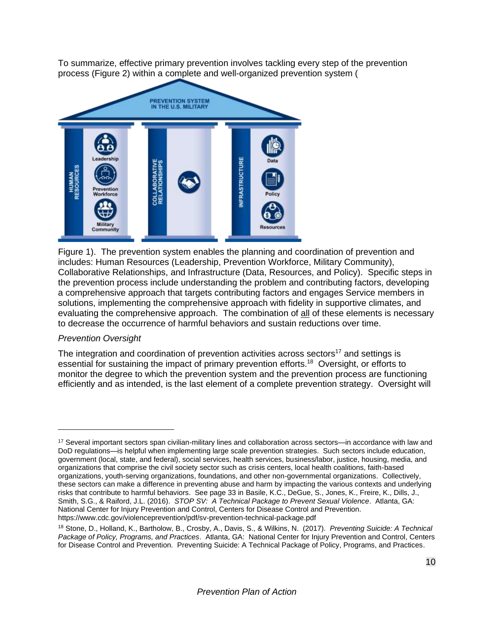To summarize, effective primary prevention involves tackling every step of the prevention [process](#page-7-2) [\(Figure 2\)](#page-7-1) [within a complete and well-organized](#page-7-2) prev[ention system \(](#page-7-2)



[Figure](#page-7-2) 1). The prevention system enables the planning and coordination of prevention and includes: Human Resources (Leadership, Prevention Workforce, Military Community), Collaborative Relationships, and Infrastructure (Data, Resources, and Policy). Specific steps in the prevention process include understanding the problem and contributing factors, developing a comprehensive approach that targets contributing factors and engages Service members in solutions, implementing the comprehensive approach with fidelity in supportive climates, and evaluating the comprehensive approach. The combination of all of these elements is necessary to decrease the occurrence of harmful behaviors and sustain reductions over time.

#### *Prevention Oversight*

The integration and coordination of prevention activities across sectors<sup>17</sup> and settings is essential for sustaining the impact of primary prevention efforts.<sup>18</sup> Oversight, or efforts to monitor the degree to which the prevention system and the prevention process are functioning efficiently and as intended, is the last element of a complete prevention strategy. Oversight will

<sup>17</sup> Several important sectors span civilian-military lines and collaboration across sectors—in accordance with law and DoD regulations—is helpful when implementing large scale prevention strategies. Such sectors include education, government (local, state, and federal), social services, health services, business/labor, justice, housing, media, and organizations that comprise the civil society sector such as crisis centers, local health coalitions, faith-based organizations, youth-serving organizations, foundations, and other non-governmental organizations. Collectively, these sectors can make a difference in preventing abuse and harm by impacting the various contexts and underlying risks that contribute to harmful behaviors. See page 33 in Basile, K.C., DeGue, S., Jones, K., Freire, K., Dills, J., Smith, S.G., & Raiford, J.L. (2016). *STOP SV: A Technical Package to Prevent Sexual Violence*. Atlanta, GA: National Center for Injury Prevention and Control, Centers for Disease Control and Prevention. https://www.cdc.gov/violenceprevention/pdf/sv-prevention-technical-package.pdf

<sup>18</sup> Stone, D., Holland, K., Bartholow, B., Crosby, A., Davis, S., & Wilkins, N. (2017). *Preventing Suicide: A Technical Package of Policy, Programs, and Practices*. Atlanta, GA: National Center for Injury Prevention and Control, Centers for Disease Control and Prevention. Preventing Suicide: A Technical Package of Policy, Programs, and Practices.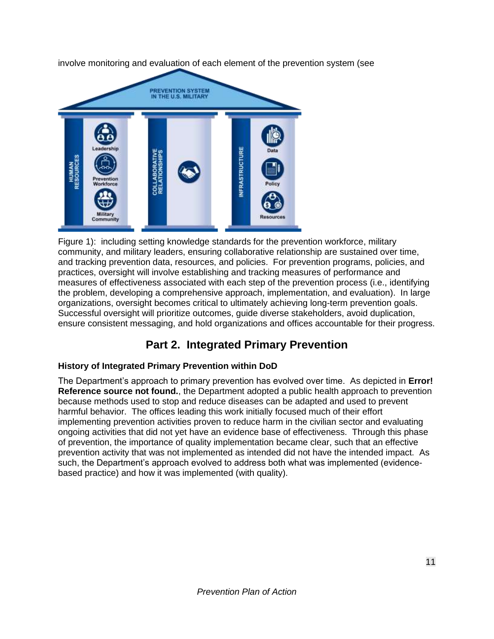involve monitoring and evaluation of each element of the prevention system (see



[Figure](#page-7-2) 1): including setting knowledge standards for the prevention workforce, military community, and military leaders, ensuring collaborative relationship are sustained over time, and tracking prevention data, resources, and policies. For prevention programs, policies, and practices, oversight will involve establishing and tracking measures of performance and measures of effectiveness associated with each step of the prevention process (i.e., identifying the problem, developing a comprehensive approach, implementation, and evaluation). In large organizations, oversight becomes critical to ultimately achieving long-term prevention goals. Successful oversight will prioritize outcomes, guide diverse stakeholders, avoid duplication, ensure consistent messaging, and hold organizations and offices accountable for their progress.

## **Part 2. Integrated Primary Prevention**

#### <span id="page-13-0"></span>**History of Integrated Primary Prevention within DoD**

The Department's approach to primary prevention has evolved over time. As depicted in **Error! Reference source not found.**, the Department adopted a public health approach to prevention because methods used to stop and reduce diseases can be adapted and used to prevent harmful behavior. The offices leading this work initially focused much of their effort implementing prevention activities proven to reduce harm in the civilian sector and evaluating ongoing activities that did not yet have an evidence base of effectiveness. Through this phase of prevention, the importance of quality implementation became clear, such that an effective prevention activity that was not implemented as intended did not have the intended impact. As such, the Department's approach evolved to address both what was implemented (evidencebased practice) and how it was implemented (with quality).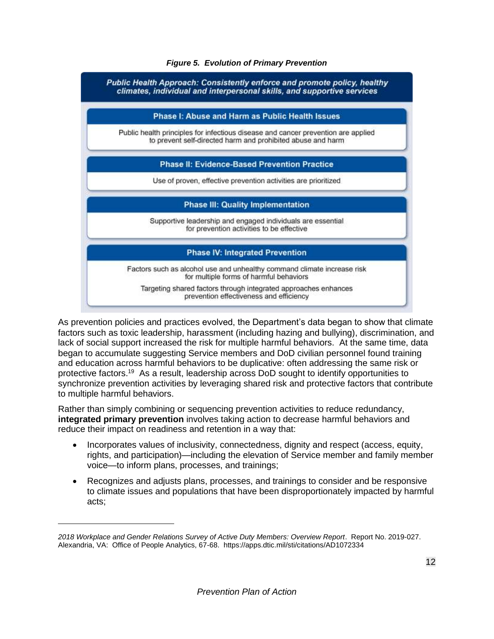#### *Figure 5. Evolution of Primary Prevention*

<span id="page-14-0"></span>

As prevention policies and practices evolved, the Department's data began to show that climate factors such as toxic leadership, harassment (including hazing and bullying), discrimination, and lack of social support increased the risk for multiple harmful behaviors. At the same time, data began to accumulate suggesting Service members and DoD civilian personnel found training and education across harmful behaviors to be duplicative: often addressing the same risk or protective factors. <sup>19</sup> As a result, leadership across DoD sought to identify opportunities to synchronize prevention activities by leveraging shared risk and protective factors that contribute to multiple harmful behaviors.

Rather than simply combining or sequencing prevention activities to reduce redundancy, **integrated primary prevention** involves taking action to decrease harmful behaviors and reduce their impact on readiness and retention in a way that:

- Incorporates values of inclusivity, connectedness, dignity and respect (access, equity, rights, and participation)—including the elevation of Service member and family member voice—to inform plans, processes, and trainings;
- Recognizes and adjusts plans, processes, and trainings to consider and be responsive to climate issues and populations that have been disproportionately impacted by harmful acts;

*<sup>2018</sup> Workplace and Gender Relations Survey of Active Duty Members: Overview Report*. Report No. 2019-027. Alexandria, VA: Office of People Analytics, 67-68. https://apps.dtic.mil/sti/citations/AD1072334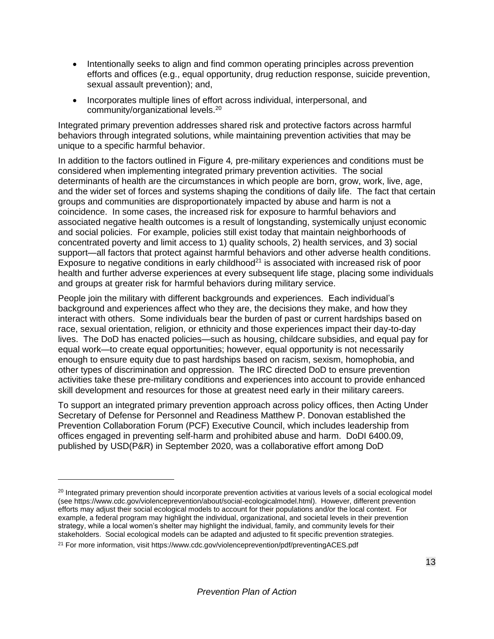- Intentionally seeks to align and find common operating principles across prevention efforts and offices (e.g., equal opportunity, drug reduction response, suicide prevention, sexual assault prevention); and,
- Incorporates multiple lines of effort across individual, interpersonal, and community/organizational levels.<sup>20</sup>

Integrated primary prevention addresses shared risk and protective factors across harmful behaviors through integrated solutions, while maintaining prevention activities that may be unique to a specific harmful behavior.

In addition to the factors outlined in [Figure 4](#page-10-0)*,* pre-military experiences and conditions must be considered when implementing integrated primary prevention activities. The social determinants of health are the circumstances in which people are born, grow, work, live, age, and the wider set of forces and systems shaping the conditions of daily life. The fact that certain groups and communities are disproportionately impacted by abuse and harm is not a coincidence. In some cases, the increased risk for exposure to harmful behaviors and associated negative health outcomes is a result of longstanding, systemically unjust economic and social policies. For example, policies still exist today that maintain neighborhoods of concentrated poverty and limit access to 1) quality schools, 2) health services, and 3) social support—all factors that protect against harmful behaviors and other adverse health conditions. Exposure to negative conditions in early childhood<sup>21</sup> is associated with increased risk of poor health and further adverse experiences at every subsequent life stage, placing some individuals and groups at greater risk for harmful behaviors during military service.

People join the military with different backgrounds and experiences. Each individual's background and experiences affect who they are, the decisions they make, and how they interact with others. Some individuals bear the burden of past or current hardships based on race, sexual orientation, religion, or ethnicity and those experiences impact their day-to-day lives. The DoD has enacted policies—such as housing, childcare subsidies, and equal pay for equal work—to create equal opportunities; however, equal opportunity is not necessarily enough to ensure equity due to past hardships based on racism, sexism, homophobia, and other types of discrimination and oppression. The IRC directed DoD to ensure prevention activities take these pre-military conditions and experiences into account to provide enhanced skill development and resources for those at greatest need early in their military careers.

To support an integrated primary prevention approach across policy offices, then Acting Under Secretary of Defense for Personnel and Readiness Matthew P. Donovan established the Prevention Collaboration Forum (PCF) Executive Council, which includes leadership from offices engaged in preventing self-harm and prohibited abuse and harm. DoDI 6400.09, published by USD(P&R) in September 2020, was a collaborative effort among DoD

<sup>&</sup>lt;sup>20</sup> Integrated primary prevention should incorporate prevention activities at various levels of a social ecological model (see https://www.cdc.gov/violenceprevention/about/social-ecologicalmodel.html). However, different prevention efforts may adjust their social ecological models to account for their populations and/or the local context. For example, a federal program may highlight the individual, organizational, and societal levels in their prevention strategy, while a local women's shelter may highlight the individual, family, and community levels for their stakeholders. Social ecological models can be adapted and adjusted to fit specific prevention strategies.

<sup>21</sup> For more information, visit https://www.cdc.gov/violenceprevention/pdf/preventingACES.pdf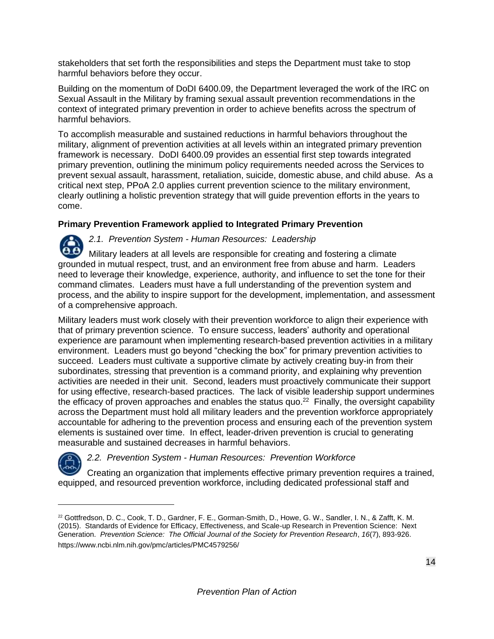stakeholders that set forth the responsibilities and steps the Department must take to stop harmful behaviors before they occur.

Building on the momentum of DoDI 6400.09, the Department leveraged the work of the IRC on Sexual Assault in the Military by framing sexual assault prevention recommendations in the context of integrated primary prevention in order to achieve benefits across the spectrum of harmful behaviors.

To accomplish measurable and sustained reductions in harmful behaviors throughout the military, alignment of prevention activities at all levels within an integrated primary prevention framework is necessary. DoDI 6400.09 provides an essential first step towards integrated primary prevention, outlining the minimum policy requirements needed across the Services to prevent sexual assault, harassment, retaliation, suicide, domestic abuse, and child abuse. As a critical next step, PPoA 2.0 applies current prevention science to the military environment, clearly outlining a holistic prevention strategy that will guide prevention efforts in the years to come.

#### **Primary Prevention Framework applied to Integrated Primary Prevention**

*2.1. Prevention System - Human Resources: Leadership*  Military leaders at all levels are responsible for creating and fostering a climate grounded in mutual respect, trust, and an environment free from abuse and harm. Leaders need to leverage their knowledge, experience, authority, and influence to set the tone for their command climates. Leaders must have a full understanding of the prevention system and process, and the ability to inspire support for the development, implementation, and assessment of a comprehensive approach.

Military leaders must work closely with their prevention workforce to align their experience with that of primary prevention science. To ensure success, leaders' authority and operational experience are paramount when implementing research-based prevention activities in a military environment. Leaders must go beyond "checking the box" for primary prevention activities to succeed. Leaders must cultivate a supportive climate by actively creating buy-in from their subordinates, stressing that prevention is a command priority, and explaining why prevention activities are needed in their unit. Second, leaders must proactively communicate their support for using effective, research-based practices. The lack of visible leadership support undermines the efficacy of proven approaches and enables the status quo. $22$  Finally, the oversight capability across the Department must hold all military leaders and the prevention workforce appropriately accountable for adhering to the prevention process and ensuring each of the prevention system elements is sustained over time. In effect, leader-driven prevention is crucial to generating measurable and sustained decreases in harmful behaviors.



*2.2. Prevention System - Human Resources: Prevention Workforce*

Creating an organization that implements effective primary prevention requires a trained, equipped, and resourced prevention workforce, including dedicated professional staff and

<sup>22</sup> Gottfredson, D. C., Cook, T. D., Gardner, F. E., Gorman-Smith, D., Howe, G. W., Sandler, I. N., & Zafft, K. M. (2015). Standards of Evidence for Efficacy, Effectiveness, and Scale-up Research in Prevention Science: Next Generation. *Prevention Science: The Official Journal of the Society for Prevention Research*, *16*(7), 893-926. https://www.ncbi.nlm.nih.gov/pmc/articles/PMC4579256/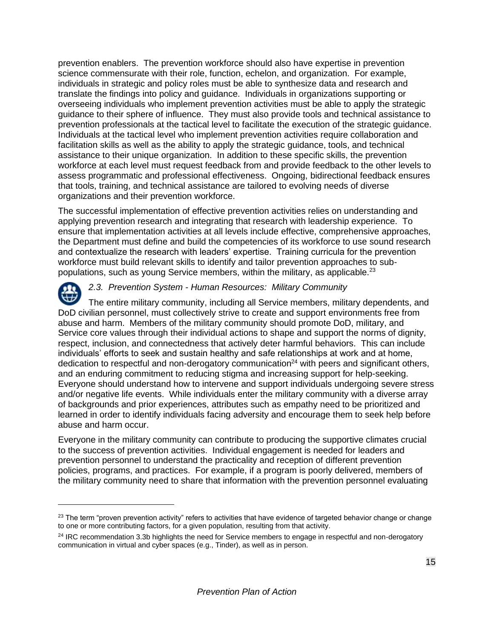prevention enablers. The prevention workforce should also have expertise in prevention science commensurate with their role, function, echelon, and organization. For example, individuals in strategic and policy roles must be able to synthesize data and research and translate the findings into policy and guidance. Individuals in organizations supporting or overseeing individuals who implement prevention activities must be able to apply the strategic guidance to their sphere of influence. They must also provide tools and technical assistance to prevention professionals at the tactical level to facilitate the execution of the strategic guidance. Individuals at the tactical level who implement prevention activities require collaboration and facilitation skills as well as the ability to apply the strategic guidance, tools, and technical assistance to their unique organization. In addition to these specific skills, the prevention workforce at each level must request feedback from and provide feedback to the other levels to assess programmatic and professional effectiveness. Ongoing, bidirectional feedback ensures that tools, training, and technical assistance are tailored to evolving needs of diverse organizations and their prevention workforce.

The successful implementation of effective prevention activities relies on understanding and applying prevention research and integrating that research with leadership experience. To ensure that implementation activities at all levels include effective, comprehensive approaches, the Department must define and build the competencies of its workforce to use sound research and contextualize the research with leaders' expertise. Training curricula for the prevention workforce must build relevant skills to identify and tailor prevention approaches to subpopulations, such as young Service members, within the military, as applicable.<sup>23</sup>



#### *2.3. Prevention System - Human Resources: Military Community*

The entire military community, including all Service members, military dependents, and DoD civilian personnel, must collectively strive to create and support environments free from abuse and harm. Members of the military community should promote DoD, military, and Service core values through their individual actions to shape and support the norms of dignity, respect, inclusion, and connectedness that actively deter harmful behaviors. This can include individuals' efforts to seek and sustain healthy and safe relationships at work and at home, dedication to respectful and non-derogatory communication<sup>24</sup> with peers and significant others, and an enduring commitment to reducing stigma and increasing support for help-seeking. Everyone should understand how to intervene and support individuals undergoing severe stress and/or negative life events. While individuals enter the military community with a diverse array of backgrounds and prior experiences, attributes such as empathy need to be prioritized and learned in order to identify individuals facing adversity and encourage them to seek help before abuse and harm occur.

Everyone in the military community can contribute to producing the supportive climates crucial to the success of prevention activities. Individual engagement is needed for leaders and prevention personnel to understand the practicality and reception of different prevention policies, programs, and practices. For example, if a program is poorly delivered, members of the military community need to share that information with the prevention personnel evaluating

 $23$  The term "proven prevention activity" refers to activities that have evidence of targeted behavior change or change to one or more contributing factors, for a given population, resulting from that activity.

<sup>&</sup>lt;sup>24</sup> IRC recommendation 3.3b highlights the need for Service members to engage in respectful and non-derogatory communication in virtual and cyber spaces (e.g., Tinder), as well as in person.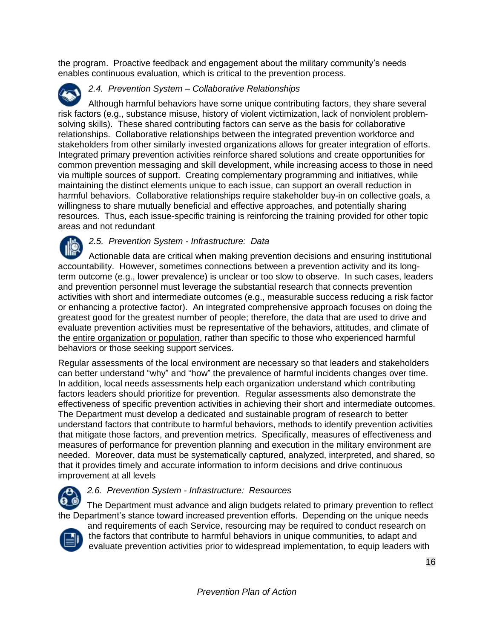the program. Proactive feedback and engagement about the military community's needs enables continuous evaluation, which is critical to the prevention process.

#### *2.4. Prevention System – Collaborative Relationships*

Although harmful behaviors have some unique contributing factors, they share several risk factors (e.g., substance misuse, history of violent victimization, lack of nonviolent problemsolving skills). These shared contributing factors can serve as the basis for collaborative relationships. Collaborative relationships between the integrated prevention workforce and stakeholders from other similarly invested organizations allows for greater integration of efforts. Integrated primary prevention activities reinforce shared solutions and create opportunities for common prevention messaging and skill development, while increasing access to those in need via multiple sources of support. Creating complementary programming and initiatives, while maintaining the distinct elements unique to each issue, can support an overall reduction in harmful behaviors. Collaborative relationships require stakeholder buy-in on collective goals, a willingness to share mutually beneficial and effective approaches, and potentially sharing resources. Thus, each issue-specific training is reinforcing the training provided for other topic areas and not redundant

*2.5. Prevention System - Infrastructure: Data* Actionable data are critical when making prevention decisions and ensuring institutional accountability. However, sometimes connections between a prevention activity and its longterm outcome (e.g., lower prevalence) is unclear or too slow to observe. In such cases, leaders and prevention personnel must leverage the substantial research that connects prevention activities with short and intermediate outcomes (e.g., measurable success reducing a risk factor or enhancing a protective factor). An integrated comprehensive approach focuses on doing the greatest good for the greatest number of people; therefore, the data that are used to drive and evaluate prevention activities must be representative of the behaviors, attitudes, and climate of the entire organization or population, rather than specific to those who experienced harmful behaviors or those seeking support services.

Regular assessments of the local environment are necessary so that leaders and stakeholders can better understand "why" and "how" the prevalence of harmful incidents changes over time. In addition, local needs assessments help each organization understand which contributing factors leaders should prioritize for prevention. Regular assessments also demonstrate the effectiveness of specific prevention activities in achieving their short and intermediate outcomes. The Department must develop a dedicated and sustainable program of research to better understand factors that contribute to harmful behaviors, methods to identify prevention activities that mitigate those factors, and prevention metrics. Specifically, measures of effectiveness and measures of performance for prevention planning and execution in the military environment are needed. Moreover, data must be systematically captured, analyzed, interpreted, and shared, so that it provides timely and accurate information to inform decisions and drive continuous improvement at all levels



#### *2.6. Prevention System - Infrastructure: Resources*

The Department must advance and align budgets related to primary prevention to reflect the Department's stance toward increased prevention efforts. Depending on the unique needs



and requirements of each Service, resourcing may be required to conduct research on the factors that contribute to harmful behaviors in unique communities, to adapt and evaluate prevention activities prior to widespread implementation, to equip leaders with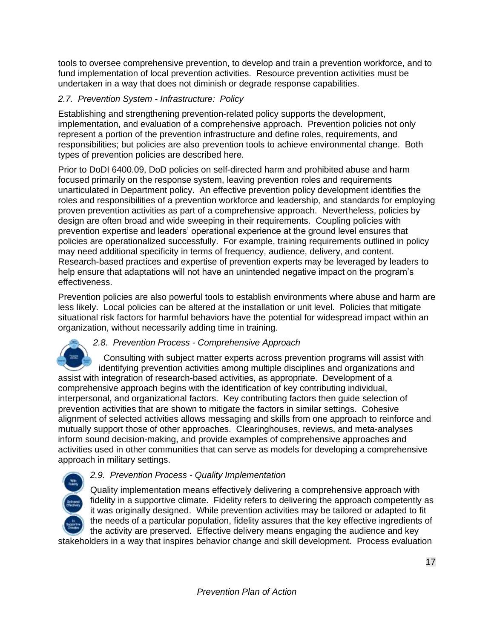tools to oversee comprehensive prevention, to develop and train a prevention workforce, and to fund implementation of local prevention activities. Resource prevention activities must be undertaken in a way that does not diminish or degrade response capabilities.

#### *2.7. Prevention System - Infrastructure: Policy*

Establishing and strengthening prevention-related policy supports the development, implementation, and evaluation of a comprehensive approach.Prevention policies not only represent a portion of the prevention infrastructure and define roles, requirements, and responsibilities; but policies are also prevention tools to achieve environmental change. Both types of prevention policies are described here.

Prior to DoDI 6400.09, DoD policies on self-directed harm and prohibited abuse and harm focused primarily on the response system, leaving prevention roles and requirements unarticulated in Department policy. An effective prevention policy development identifies the roles and responsibilities of a prevention workforce and leadership, and standards for employing proven prevention activities as part of a comprehensive approach. Nevertheless, policies by design are often broad and wide sweeping in their requirements. Coupling policies with prevention expertise and leaders' operational experience at the ground level ensures that policies are operationalized successfully. For example, training requirements outlined in policy may need additional specificity in terms of frequency, audience, delivery, and content. Research-based practices and expertise of prevention experts may be leveraged by leaders to help ensure that adaptations will not have an unintended negative impact on the program's effectiveness.

Prevention policies are also powerful tools to establish environments where abuse and harm are less likely. Local policies can be altered at the installation or unit level. Policies that mitigate situational risk factors for harmful behaviors have the potential for widespread impact within an organization, without necessarily adding time in training.

#### *2.8. Prevention Process - Comprehensive Approach*

 Consulting with subject matter experts across prevention programs will assist with identifying prevention activities among multiple disciplines and organizations and assist with integration of research-based activities, as appropriate. Development of a comprehensive approach begins with the identification of key contributing individual, interpersonal, and organizational factors. Key contributing factors then guide selection of prevention activities that are shown to mitigate the factors in similar settings. Cohesive alignment of selected activities allows messaging and skills from one approach to reinforce and mutually support those of other approaches. Clearinghouses, reviews, and meta-analyses inform sound decision-making, and provide examples of comprehensive approaches and activities used in other communities that can serve as models for developing a comprehensive approach in military settings.

#### *2.9. Prevention Process - Quality Implementation*

Quality implementation means effectively delivering a comprehensive approach with fidelity in a supportive climate. Fidelity refers to delivering the approach competently as it was originally designed. While prevention activities may be tailored or adapted to fit the needs of a particular population, fidelity assures that the key effective ingredients of the activity are preserved. Effective delivery means engaging the audience and key stakeholders in a way that inspires behavior change and skill development. Process evaluation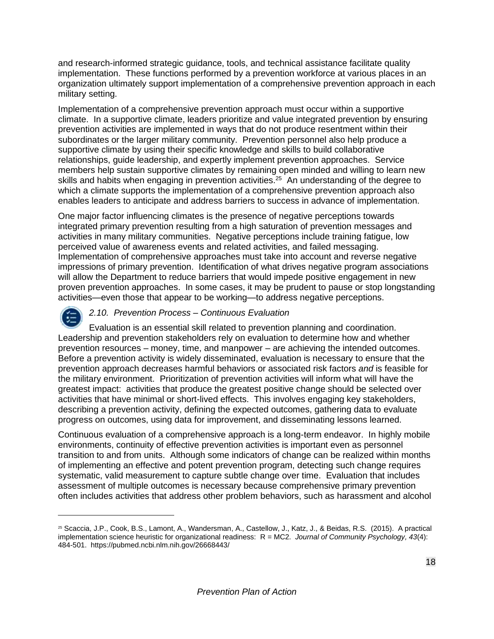and research-informed strategic guidance, tools, and technical assistance facilitate quality implementation. These functions performed by a prevention workforce at various places in an organization ultimately support implementation of a comprehensive prevention approach in each military setting.

Implementation of a comprehensive prevention approach must occur within a supportive climate. In a supportive climate, leaders prioritize and value integrated prevention by ensuring prevention activities are implemented in ways that do not produce resentment within their subordinates or the larger military community. Prevention personnel also help produce a supportive climate by using their specific knowledge and skills to build collaborative relationships, guide leadership, and expertly implement prevention approaches. Service members help sustain supportive climates by remaining open minded and willing to learn new skills and habits when engaging in prevention activities.<sup>25</sup> An understanding of the degree to which a climate supports the implementation of a comprehensive prevention approach also enables leaders to anticipate and address barriers to success in advance of implementation.

One major factor influencing climates is the presence of negative perceptions towards integrated primary prevention resulting from a high saturation of prevention messages and activities in many military communities. Negative perceptions include training fatigue, low perceived value of awareness events and related activities, and failed messaging. Implementation of comprehensive approaches must take into account and reverse negative impressions of primary prevention. Identification of what drives negative program associations will allow the Department to reduce barriers that would impede positive engagement in new proven prevention approaches. In some cases, it may be prudent to pause or stop longstanding activities—even those that appear to be working—to address negative perceptions.



#### *2.10. Prevention Process – Continuous Evaluation*

Evaluation is an essential skill related to prevention planning and coordination. Leadership and prevention stakeholders rely on evaluation to determine how and whether prevention resources – money, time, and manpower – are achieving the intended outcomes. Before a prevention activity is widely disseminated, evaluation is necessary to ensure that the prevention approach decreases harmful behaviors or associated risk factors *and* is feasible for the military environment. Prioritization of prevention activities will inform what will have the greatest impact: activities that produce the greatest positive change should be selected over activities that have minimal or short-lived effects. This involves engaging key stakeholders, describing a prevention activity, defining the expected outcomes, gathering data to evaluate progress on outcomes, using data for improvement, and disseminating lessons learned.

Continuous evaluation of a comprehensive approach is a long-term endeavor. In highly mobile environments, continuity of effective prevention activities is important even as personnel transition to and from units. Although some indicators of change can be realized within months of implementing an effective and potent prevention program, detecting such change requires systematic, valid measurement to capture subtle change over time. Evaluation that includes assessment of multiple outcomes is necessary because comprehensive primary prevention often includes activities that address other problem behaviors, such as harassment and alcohol

<sup>25</sup> Scaccia, J.P., Cook, B.S., Lamont, A., Wandersman, A., Castellow, J., Katz, J., & Beidas, R.S. (2015). A practical implementation science heuristic for organizational readiness: R = MC2. *Journal of Community Psychology, 43*(4): 484-501. https://pubmed.ncbi.nlm.nih.gov/26668443/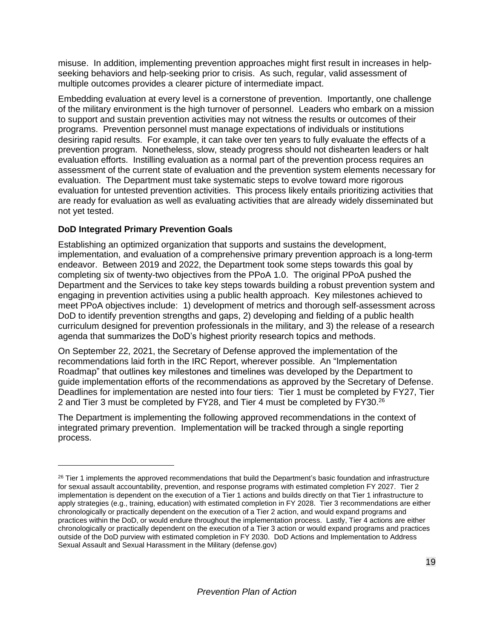misuse. In addition, implementing prevention approaches might first result in increases in helpseeking behaviors and help-seeking prior to crisis. As such, regular, valid assessment of multiple outcomes provides a clearer picture of intermediate impact.

Embedding evaluation at every level is a cornerstone of prevention. Importantly, one challenge of the military environment is the high turnover of personnel. Leaders who embark on a mission to support and sustain prevention activities may not witness the results or outcomes of their programs. Prevention personnel must manage expectations of individuals or institutions desiring rapid results. For example, it can take over ten years to fully evaluate the effects of a prevention program. Nonetheless, slow, steady progress should not dishearten leaders or halt evaluation efforts. Instilling evaluation as a normal part of the prevention process requires an assessment of the current state of evaluation and the prevention system elements necessary for evaluation. The Department must take systematic steps to evolve toward more rigorous evaluation for untested prevention activities. This process likely entails prioritizing activities that are ready for evaluation as well as evaluating activities that are already widely disseminated but not yet tested.

#### **DoD Integrated Primary Prevention Goals**

Establishing an optimized organization that supports and sustains the development, implementation, and evaluation of a comprehensive primary prevention approach is a long-term endeavor. Between 2019 and 2022, the Department took some steps towards this goal by completing six of twenty-two objectives from the PPoA 1.0. The original PPoA pushed the Department and the Services to take key steps towards building a robust prevention system and engaging in prevention activities using a public health approach. Key milestones achieved to meet PPoA objectives include: 1) development of metrics and thorough self-assessment across DoD to identify prevention strengths and gaps, 2) developing and fielding of a public health curriculum designed for prevention professionals in the military, and 3) the release of a research agenda that summarizes the DoD's highest priority research topics and methods.

On September 22, 2021, the Secretary of Defense approved the implementation of the recommendations laid forth in the IRC Report, wherever possible. An "Implementation Roadmap" that outlines key milestones and timelines was developed by the Department to guide implementation efforts of the recommendations as approved by the Secretary of Defense. Deadlines for implementation are nested into four tiers: Tier 1 must be completed by FY27, Tier 2 and Tier 3 must be completed by FY28, and Tier 4 must be completed by FY30.<sup>26</sup>

The Department is implementing the following approved recommendations in the context of integrated primary prevention. Implementation will be tracked through a single reporting process.

<sup>&</sup>lt;sup>26</sup> Tier 1 implements the approved recommendations that build the Department's basic foundation and infrastructure for sexual assault accountability, prevention, and response programs with estimated completion FY 2027. Tier 2 implementation is dependent on the execution of a Tier 1 actions and builds directly on that Tier 1 infrastructure to apply strategies (e.g., training, education) with estimated completion in FY 2028. Tier 3 recommendations are either chronologically or practically dependent on the execution of a Tier 2 action, and would expand programs and practices within the DoD, or would endure throughout the implementation process. Lastly, Tier 4 actions are either chronologically or practically dependent on the execution of a Tier 3 action or would expand programs and practices outside of the DoD purview with estimated completion in FY 2030. DoD Actions and Implementation to Address Sexual Assault and Sexual Harassment in the Military (defense.gov)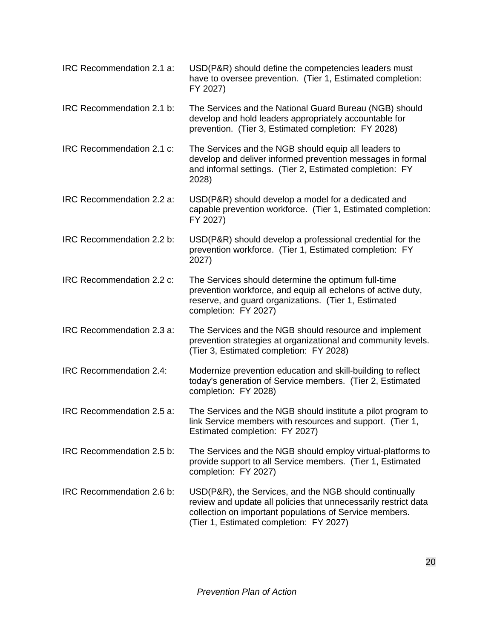| IRC Recommendation 2.1 a: | USD(P&R) should define the competencies leaders must<br>have to oversee prevention. (Tier 1, Estimated completion:<br>FY 2027)                                                                                                  |
|---------------------------|---------------------------------------------------------------------------------------------------------------------------------------------------------------------------------------------------------------------------------|
| IRC Recommendation 2.1 b: | The Services and the National Guard Bureau (NGB) should<br>develop and hold leaders appropriately accountable for<br>prevention. (Tier 3, Estimated completion: FY 2028)                                                        |
| IRC Recommendation 2.1 c: | The Services and the NGB should equip all leaders to<br>develop and deliver informed prevention messages in formal<br>and informal settings. (Tier 2, Estimated completion: FY<br>2028)                                         |
| IRC Recommendation 2.2 a: | USD(P&R) should develop a model for a dedicated and<br>capable prevention workforce. (Tier 1, Estimated completion:<br>FY 2027)                                                                                                 |
| IRC Recommendation 2.2 b: | USD(P&R) should develop a professional credential for the<br>prevention workforce. (Tier 1, Estimated completion: FY<br>2027)                                                                                                   |
| IRC Recommendation 2.2 c: | The Services should determine the optimum full-time<br>prevention workforce, and equip all echelons of active duty,<br>reserve, and guard organizations. (Tier 1, Estimated<br>completion: FY 2027)                             |
| IRC Recommendation 2.3 a: | The Services and the NGB should resource and implement<br>prevention strategies at organizational and community levels.<br>(Tier 3, Estimated completion: FY 2028)                                                              |
| IRC Recommendation 2.4:   | Modernize prevention education and skill-building to reflect<br>today's generation of Service members. (Tier 2, Estimated<br>completion: FY 2028)                                                                               |
| IRC Recommendation 2.5 a: | The Services and the NGB should institute a pilot program to<br>link Service members with resources and support. (Tier 1,<br>Estimated completion: FY 2027)                                                                     |
| IRC Recommendation 2.5 b: | The Services and the NGB should employ virtual-platforms to<br>provide support to all Service members. (Tier 1, Estimated<br>completion: FY 2027)                                                                               |
| IRC Recommendation 2.6 b: | USD(P&R), the Services, and the NGB should continually<br>review and update all policies that unnecessarily restrict data<br>collection on important populations of Service members.<br>(Tier 1, Estimated completion: FY 2027) |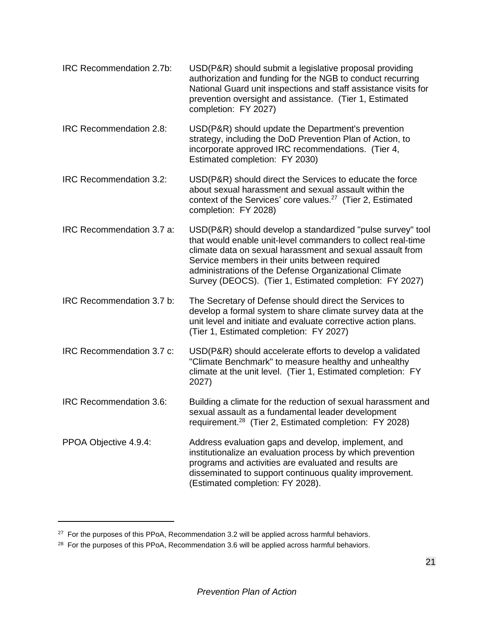| IRC Recommendation 2.7b: | USD(P&R) should submit a legislative proposal providing<br>authorization and funding for the NGB to conduct recurring<br>National Guard unit inspections and staff assistance visits for<br>prevention oversight and assistance. (Tier 1, Estimated<br>completion: FY 2027) |
|--------------------------|-----------------------------------------------------------------------------------------------------------------------------------------------------------------------------------------------------------------------------------------------------------------------------|
|                          |                                                                                                                                                                                                                                                                             |

IRC Recommendation 2.8: USD(P&R) should update the Department's prevention strategy, including the DoD Prevention Plan of Action, to incorporate approved IRC recommendations. (Tier 4, Estimated completion: FY 2030)

IRC Recommendation 3.2: USD(P&R) should direct the Services to educate the force about sexual harassment and sexual assault within the context of the Services' core values. $27$  (Tier 2, Estimated completion: FY 2028)

IRC Recommendation 3.7 a: USD(P&R) should develop a standardized "pulse survey" tool that would enable unit-level commanders to collect real-time climate data on sexual harassment and sexual assault from Service members in their units between required administrations of the Defense Organizational Climate Survey (DEOCS). (Tier 1, Estimated completion: FY 2027)

- IRC Recommendation 3.7 b: The Secretary of Defense should direct the Services to develop a formal system to share climate survey data at the unit level and initiate and evaluate corrective action plans. (Tier 1, Estimated completion: FY 2027)
- IRC Recommendation 3.7 c: USD(P&R) should accelerate efforts to develop a validated "Climate Benchmark" to measure healthy and unhealthy climate at the unit level. (Tier 1, Estimated completion: FY 2027)
- IRC Recommendation 3.6: Building a climate for the reduction of sexual harassment and sexual assault as a fundamental leader development requirement.<sup>28</sup> (Tier 2, Estimated completion: FY 2028)
- PPOA Objective 4.9.4: Address evaluation gaps and develop, implement, and institutionalize an evaluation process by which prevention programs and activities are evaluated and results are disseminated to support continuous quality improvement. (Estimated completion: FY 2028).

<sup>&</sup>lt;sup>27</sup> For the purposes of this PPoA, Recommendation 3.2 will be applied across harmful behaviors.

<sup>&</sup>lt;sup>28</sup> For the purposes of this PPoA, Recommendation 3.6 will be applied across harmful behaviors.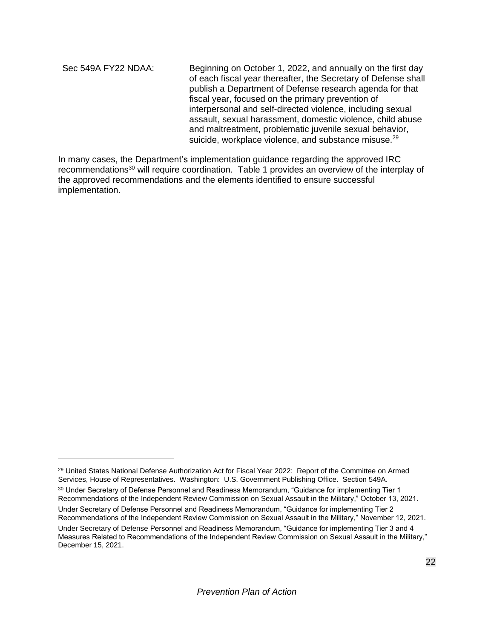Sec 549A FY22 NDAA: Beginning on October 1, 2022, and annually on the first day of each fiscal year thereafter, the Secretary of Defense shall publish a Department of Defense research agenda for that fiscal year, focused on the primary prevention of interpersonal and self-directed violence, including sexual assault, sexual harassment, domestic violence, child abuse and maltreatment, problematic juvenile sexual behavior, suicide, workplace violence, and substance misuse.<sup>29</sup>

In many cases, the Department's implementation guidance regarding the approved IRC recommendations<sup>30</sup> will require coordination. Table 1 provides an overview of the interplay of the approved recommendations and the elements identified to ensure successful implementation.

<sup>&</sup>lt;sup>29</sup> United States National Defense Authorization Act for Fiscal Year 2022: Report of the Committee on Armed Services, House of Representatives. Washington: U.S. Government Publishing Office. Section 549A. <sup>30</sup> Under Secretary of Defense Personnel and Readiness Memorandum, "Guidance for implementing Tier 1 Recommendations of the Independent Review Commission on Sexual Assault in the Military," October 13, 2021.

Under Secretary of Defense Personnel and Readiness Memorandum, "Guidance for implementing Tier 2 Recommendations of the Independent Review Commission on Sexual Assault in the Military," November 12, 2021.

Under Secretary of Defense Personnel and Readiness Memorandum, "Guidance for implementing Tier 3 and 4 Measures Related to Recommendations of the Independent Review Commission on Sexual Assault in the Military," December 15, 2021.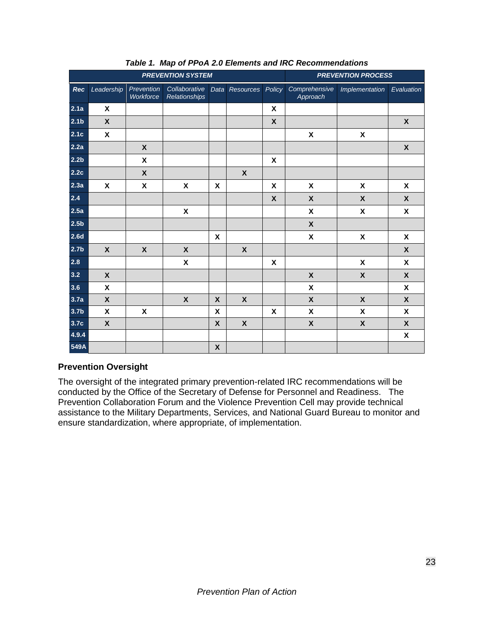| <b>PREVENTION SYSTEM</b> |                           |                           |                                       | <b>PREVENTION PROCESS</b> |                           |                           |                           |                           |                           |
|--------------------------|---------------------------|---------------------------|---------------------------------------|---------------------------|---------------------------|---------------------------|---------------------------|---------------------------|---------------------------|
| Rec                      | Leadership                | Prevention<br>Workforce   | Collaborative<br><b>Relationships</b> |                           | Data Resources            | Policy                    | Comprehensive<br>Approach | Implementation            | Evaluation                |
| 2.1a                     | $\boldsymbol{\mathsf{x}}$ |                           |                                       |                           |                           | $\pmb{\mathsf{X}}$        |                           |                           |                           |
| 2.1 <sub>b</sub>         | X                         |                           |                                       |                           |                           | X                         |                           |                           | $\boldsymbol{X}$          |
| 2.1c                     | X                         |                           |                                       |                           |                           |                           | $\boldsymbol{\mathsf{x}}$ | X                         |                           |
| 2.2a                     |                           | $\boldsymbol{\mathsf{X}}$ |                                       |                           |                           |                           |                           |                           | $\mathsf{X}$              |
| 2.2 <sub>b</sub>         |                           | $\pmb{\mathsf{X}}$        |                                       |                           |                           | X                         |                           |                           |                           |
| 2.2c                     |                           | X                         |                                       |                           | X                         |                           |                           |                           |                           |
| 2.3a                     | X                         | X                         | $\pmb{\mathsf{X}}$                    | X                         |                           | $\boldsymbol{\mathsf{X}}$ | $\boldsymbol{\mathsf{x}}$ | X                         | $\boldsymbol{\mathsf{x}}$ |
| 2.4                      |                           |                           |                                       |                           |                           | X                         | $\boldsymbol{\mathsf{X}}$ | X                         | X                         |
| 2.5a                     |                           |                           | $\pmb{\mathsf{X}}$                    |                           |                           |                           | $\boldsymbol{\mathsf{x}}$ | $\pmb{\mathsf{X}}$        | $\boldsymbol{\mathsf{x}}$ |
| 2.5 <sub>b</sub>         |                           |                           |                                       |                           |                           |                           | $\boldsymbol{\mathsf{X}}$ |                           |                           |
| 2.6d                     |                           |                           |                                       | X                         |                           |                           | $\pmb{\mathsf{X}}$        | $\pmb{\mathsf{X}}$        | X                         |
| 2.7 <sub>b</sub>         | $\mathbf x$               | $\boldsymbol{\mathsf{X}}$ | $\boldsymbol{\mathsf{x}}$             |                           | $\boldsymbol{\mathsf{x}}$ |                           |                           |                           | $\mathsf{X}$              |
| 2.8                      |                           |                           | $\pmb{\mathsf{X}}$                    |                           |                           | X                         |                           | X                         | $\boldsymbol{\mathsf{x}}$ |
| 3.2                      | X                         |                           |                                       |                           |                           |                           | $\boldsymbol{\mathsf{X}}$ | $\boldsymbol{\mathsf{X}}$ | $\boldsymbol{\mathsf{X}}$ |
| 3.6                      | $\pmb{\mathsf{X}}$        |                           |                                       |                           |                           |                           | $\pmb{\mathsf{X}}$        |                           | $\pmb{\mathsf{X}}$        |
| 3.7a                     | $\pmb{\chi}$              |                           | $\pmb{\mathsf{X}}$                    | $\boldsymbol{\mathsf{X}}$ | $\mathsf{X}$              |                           | $\boldsymbol{\mathsf{x}}$ | $\boldsymbol{\mathsf{X}}$ | $\boldsymbol{\mathsf{x}}$ |
| 3.7 <sub>b</sub>         | $\pmb{\chi}$              | $\pmb{\mathsf{X}}$        |                                       | X                         |                           | X                         | $\pmb{\chi}$              | $\pmb{\mathsf{X}}$        | X                         |
| 3.7 <sub>c</sub>         | $\boldsymbol{\mathsf{X}}$ |                           |                                       | X                         | $\pmb{\mathsf{X}}$        |                           | $\pmb{\mathsf{X}}$        | $\pmb{\mathsf{X}}$        | $\boldsymbol{\mathsf{X}}$ |
| 4.9.4                    |                           |                           |                                       |                           |                           |                           |                           |                           | $\boldsymbol{\mathsf{x}}$ |
| 549A                     |                           |                           |                                       | $\pmb{\mathsf{X}}$        |                           |                           |                           |                           |                           |

*Table 1. Map of PPoA 2.0 Elements and IRC Recommendations*

#### **Prevention Oversight**

The oversight of the integrated primary prevention-related IRC recommendations will be conducted by the Office of the Secretary of Defense for Personnel and Readiness. The Prevention Collaboration Forum and the Violence Prevention Cell may provide technical assistance to the Military Departments, Services, and National Guard Bureau to monitor and ensure standardization, where appropriate, of implementation.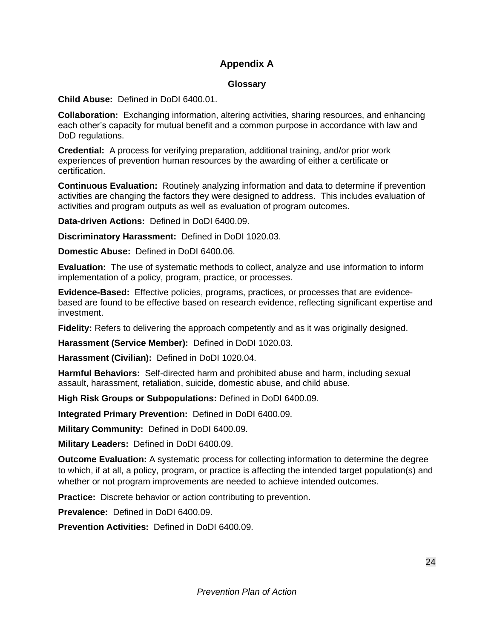#### **Appendix A**

#### **Glossary**

<span id="page-26-0"></span>**Child Abuse:** Defined in DoDI 6400.01.

**Collaboration:** Exchanging information, altering activities, sharing resources, and enhancing each other's capacity for mutual benefit and a common purpose in accordance with law and DoD regulations.

**Credential:** A process for verifying preparation, additional training, and/or prior work experiences of prevention human resources by the awarding of either a certificate or certification.

**Continuous Evaluation:** Routinely analyzing information and data to determine if prevention activities are changing the factors they were designed to address. This includes evaluation of activities and program outputs as well as evaluation of program outcomes.

**Data-driven Actions:** Defined in DoDI 6400.09.

**Discriminatory Harassment:** Defined in DoDI 1020.03.

**Domestic Abuse:** Defined in DoDI 6400.06.

**Evaluation:** The use of systematic methods to collect, analyze and use information to inform implementation of a policy, program, practice, or processes.

**Evidence-Based:** Effective policies, programs, practices, or processes that are evidencebased are found to be effective based on research evidence, reflecting significant expertise and investment.

**Fidelity:** Refers to delivering the approach competently and as it was originally designed.

**Harassment (Service Member):** Defined in DoDI 1020.03.

**Harassment (Civilian):** Defined in DoDI 1020.04.

**Harmful Behaviors:** Self-directed harm and prohibited abuse and harm, including sexual assault, harassment, retaliation, suicide, domestic abuse, and child abuse.

**High Risk Groups or Subpopulations:** Defined in DoDI 6400.09.

**Integrated Primary Prevention:** Defined in DoDI 6400.09.

**Military Community:** Defined in DoDI 6400.09.

**Military Leaders:** Defined in DoDI 6400.09.

**Outcome Evaluation:** A systematic process for collecting information to determine the degree to which, if at all, a policy, program, or practice is affecting the intended target population(s) and whether or not program improvements are needed to achieve intended outcomes.

**Practice:** Discrete behavior or action contributing to prevention.

**Prevalence:** Defined in DoDI 6400.09.

**Prevention Activities:** Defined in DoDI 6400.09.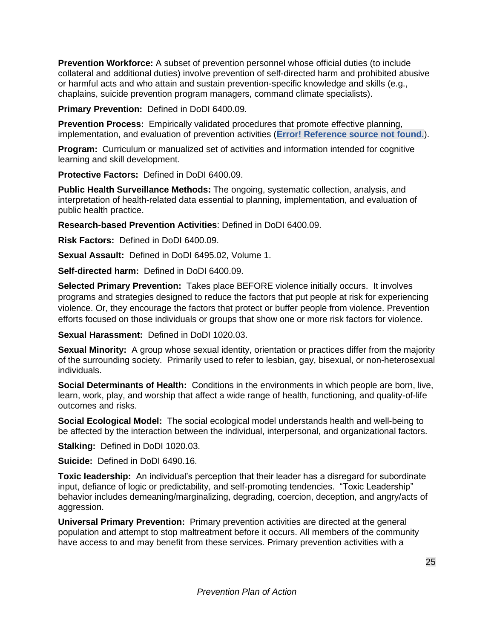**Prevention Workforce:** A subset of prevention personnel whose official duties (to include collateral and additional duties) involve prevention of self-directed harm and prohibited abusive or harmful acts and who attain and sustain prevention-specific knowledge and skills (e.g., chaplains, suicide prevention program managers, command climate specialists).

**Primary Prevention:** Defined in DoDI 6400.09.

**Prevention Process:** Empirically validated procedures that promote effective planning, implementation, and evaluation of prevention activities (**Error! Reference source not found.**).

**Program:** Curriculum or manualized set of activities and information intended for cognitive learning and skill development.

**Protective Factors:** Defined in DoDI 6400.09.

**Public Health Surveillance Methods:** The ongoing, systematic collection, analysis, and interpretation of health-related data essential to planning, implementation, and evaluation of public health practice.

**Research-based Prevention Activities**: Defined in DoDI 6400.09.

**Risk Factors:** Defined in DoDI 6400.09.

**Sexual Assault:** Defined in DoDI 6495.02, Volume 1.

**Self-directed harm:** Defined in DoDI 6400.09.

**Selected Primary Prevention:** Takes place BEFORE violence initially occurs. It involves programs and strategies designed to reduce the factors that put people at risk for experiencing violence. Or, they encourage the factors that protect or buffer people from violence. Prevention efforts focused on those individuals or groups that show one or more risk factors for violence.

**Sexual Harassment:** Defined in DoDI 1020.03.

**Sexual Minority:** A group whose sexual identity, orientation or practices differ from the majority of the surrounding society. Primarily used to refer to lesbian, gay, bisexual, or non-heterosexual individuals.

**Social Determinants of Health:** Conditions in the environments in which people are born, live, learn, work, play, and worship that affect a wide range of health, functioning, and quality-of-life outcomes and risks.

**Social Ecological Model:** The social ecological model understands health and well-being to be affected by the interaction between the individual, interpersonal, and organizational factors.

**Stalking:** Defined in DoDI 1020.03.

**Suicide:** Defined in DoDI 6490.16.

**Toxic leadership:** An individual's perception that their leader has a disregard for subordinate input, defiance of logic or predictability, and self-promoting tendencies. "Toxic Leadership" behavior includes demeaning/marginalizing, degrading, coercion, deception, and angry/acts of aggression.

**Universal Primary Prevention:** Primary prevention activities are directed at the general population and attempt to stop maltreatment before it occurs. All members of the community have access to and may benefit from these services. Primary prevention activities with a